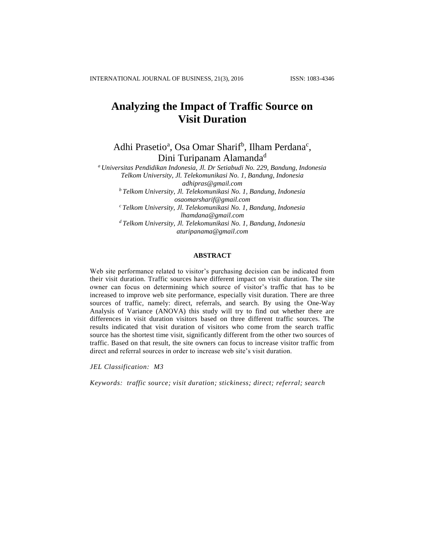# **Analyzing the Impact of Traffic Source on Visit Duration**

Adhi Prasetio<sup>a</sup>, Osa Omar Sharif<sup>b</sup>, Ilham Perdana<sup>c</sup>, Dini Turipanam Alamanda<sup>d</sup>

*<sup>a</sup> Universitas Pendidikan Indonesia, Jl. Dr Setiabudi No. 229, Bandung, Indonesia Telkom University, Jl. Telekomunikasi No. 1, Bandung, Indonesia [adhipras@gmail.com](mailto:adhipras@gmail.com) <sup>b</sup> Telkom University, Jl. Telekomunikasi No. 1, Bandung, Indonesia osaomarsharif@gmail.com*

*<sup>c</sup>Telkom University, Jl. Telekomunikasi No. 1, Bandung, Indonesia lhamdana@gmail.com*

*<sup>d</sup>Telkom University, Jl. Telekomunikasi No. 1, Bandung, Indonesia aturipanama@gmail.com*

# **ABSTRACT**

Web site performance related to visitor's purchasing decision can be indicated from their visit duration. Traffic sources have different impact on visit duration. The site owner can focus on determining which source of visitor's traffic that has to be increased to improve web site performance, especially visit duration. There are three sources of traffic, namely: direct, referrals, and search. By using the One-Way Analysis of Variance (ANOVA) this study will try to find out whether there are differences in visit duration visitors based on three different traffic sources. The results indicated that visit duration of visitors who come from the search traffic source has the shortest time visit, significantly different from the other two sources of traffic. Based on that result, the site owners can focus to increase visitor traffic from direct and referral sources in order to increase web site's visit duration.

*JEL Classification: M3*

*Keywords: traffic source; visit duration; stickiness; direct; referral; search*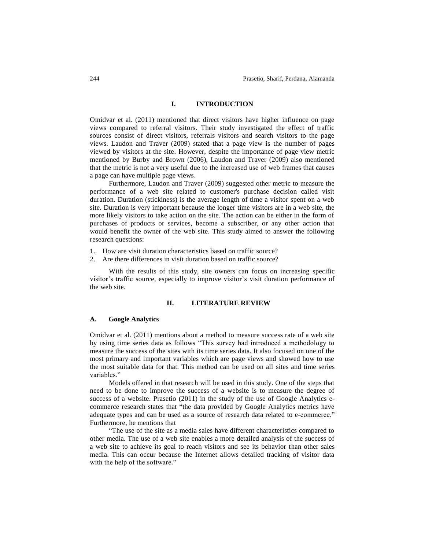## **I. INTRODUCTION**

Omidvar et al. (2011) mentioned that direct visitors have higher influence on page views compared to referral visitors. Their study investigated the effect of traffic sources consist of direct visitors, referrals visitors and search visitors to the page views. Laudon and Traver (2009) stated that a page view is the number of pages viewed by visitors at the site. However, despite the importance of page view metric mentioned by Burby and Brown (2006), Laudon and Traver (2009) also mentioned that the metric is not a very useful due to the increased use of web frames that causes a page can have multiple page views.

Furthermore, Laudon and Traver (2009) suggested other metric to measure the performance of a web site related to customer's purchase decision called visit duration. Duration (stickiness) is the average length of time a visitor spent on a web site. Duration is very important because the longer time visitors are in a web site, the more likely visitors to take action on the site. The action can be either in the form of purchases of products or services, become a subscriber, or any other action that would benefit the owner of the web site. This study aimed to answer the following research questions:

- 1. How are visit duration characteristics based on traffic source?
- 2. Are there differences in visit duration based on traffic source?

With the results of this study, site owners can focus on increasing specific visitor's traffic source, especially to improve visitor's visit duration performance of the web site.

#### **II. LITERATURE REVIEW**

#### **A. Google Analytics**

Omidvar et al. (2011) mentions about a method to measure success rate of a web site by using time series data as follows "This survey had introduced a methodology to measure the success of the sites with its time series data. It also focused on one of the most primary and important variables which are page views and showed how to use the most suitable data for that. This method can be used on all sites and time series variables."

Models offered in that research will be used in this study. One of the steps that need to be done to improve the success of a website is to measure the degree of success of a website. Prasetio (2011) in the study of the use of Google Analytics ecommerce research states that "the data provided by Google Analytics metrics have adequate types and can be used as a source of research data related to e-commerce." Furthermore, he mentions that

"The use of the site as a media sales have different characteristics compared to other media. The use of a web site enables a more detailed analysis of the success of a web site to achieve its goal to reach visitors and see its behavior than other sales media. This can occur because the Internet allows detailed tracking of visitor data with the help of the software."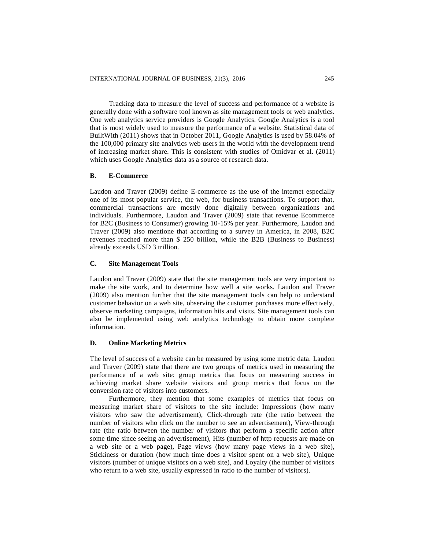Tracking data to measure the level of success and performance of a website is generally done with a software tool known as site management tools or web analytics. One web analytics service providers is Google Analytics. Google Analytics is a tool that is most widely used to measure the performance of a website. Statistical data of BuiltWith (2011) shows that in October 2011, Google Analytics is used by 58.04% of the 100,000 primary site analytics web users in the world with the development trend of increasing market share. This is consistent with studies of Omidvar et al. (2011) which uses Google Analytics data as a source of research data.

## **B. E-Commerce**

Laudon and Traver (2009) define E-commerce as the use of the internet especially one of its most popular service, the web, for business transactions. To support that, commercial transactions are mostly done digitally between organizations and individuals. Furthermore, Laudon and Traver (2009) state that revenue Ecommerce for B2C (Business to Consumer) growing 10-15% per year. Furthermore, Laudon and Traver (2009) also mentione that according to a survey in America, in 2008, B2C revenues reached more than \$ 250 billion, while the B2B (Business to Business) already exceeds USD 3 trillion.

## **C. Site Management Tools**

Laudon and Traver (2009) state that the site management tools are very important to make the site work, and to determine how well a site works. Laudon and Traver (2009) also mention further that the site management tools can help to understand customer behavior on a web site, observing the customer purchases more effectively, observe marketing campaigns, information hits and visits. Site management tools can also be implemented using web analytics technology to obtain more complete information.

# **D. Online Marketing Metrics**

The level of success of a website can be measured by using some metric data. Laudon and Traver (2009) state that there are two groups of metrics used in measuring the performance of a web site: group metrics that focus on measuring success in achieving market share website visitors and group metrics that focus on the conversion rate of visitors into customers.

Furthermore, they mention that some examples of metrics that focus on measuring market share of visitors to the site include: Impressions (how many visitors who saw the advertisement), Click-through rate (the ratio between the number of visitors who click on the number to see an advertisement), View-through rate (the ratio between the number of visitors that perform a specific action after some time since seeing an advertisement), Hits (number of http requests are made on a web site or a web page), Page views (how many page views in a web site), Stickiness or duration (how much time does a visitor spent on a web site), Unique visitors (number of unique visitors on a web site), and Loyalty (the number of visitors who return to a web site, usually expressed in ratio to the number of visitors).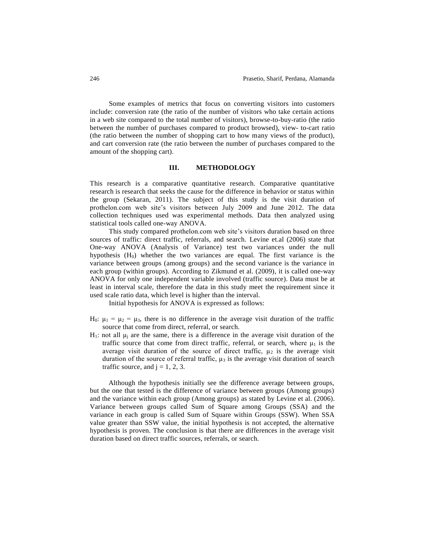Some examples of metrics that focus on converting visitors into customers include: conversion rate (the ratio of the number of visitors who take certain actions in a web site compared to the total number of visitors), browse-to-buy-ratio (the ratio between the number of purchases compared to product browsed), view- to-cart ratio (the ratio between the number of shopping cart to how many views of the product), and cart conversion rate (the ratio between the number of purchases compared to the amount of the shopping cart).

## **III. METHODOLOGY**

This research is a comparative quantitative research. Comparative quantitative research is research that seeks the cause for the difference in behavior or status within the group (Sekaran, 2011). The subject of this study is the visit duration of prothelon.com web site's visitors between July 2009 and June 2012. The data collection techniques used was experimental methods. Data then analyzed using statistical tools called one-way ANOVA.

This study compared prothelon.com web site's visitors duration based on three sources of traffic: direct traffic, referrals, and search. Levine et.al (2006) state that One-way ANOVA (Analysis of Variance) test two variances under the null hypothesis (H0) whether the two variances are equal. The first variance is the variance between groups (among groups) and the second variance is the variance in each group (within groups). According to Zikmund et al. (2009), it is called one-way ANOVA for only one independent variable involved (traffic source). Data must be at least in interval scale, therefore the data in this study meet the requirement since it used scale ratio data, which level is higher than the interval.

Initial hypothesis for ANOVA is expressed as follows:

- H<sub>0</sub>:  $\mu_1 = \mu_2 = \mu_3$ , there is no difference in the average visit duration of the traffic source that come from direct, referral, or search.
- H<sub>1</sub>: not all  $\mu_i$  are the same, there is a difference in the average visit duration of the traffic source that come from direct traffic, referral, or search, where  $\mu_1$  is the average visit duration of the source of direct traffic,  $\mu_2$  is the average visit duration of the source of referral traffic,  $\mu_3$  is the average visit duration of search traffic source, and  $j = 1, 2, 3$ .

Although the hypothesis initially see the difference average between groups, but the one that tested is the difference of variance between groups (Among groups) and the variance within each group (Among groups) as stated by Levine et al. (2006). Variance between groups called Sum of Square among Groups (SSA) and the variance in each group is called Sum of Square within Groups (SSW). When SSA value greater than SSW value, the initial hypothesis is not accepted, the alternative hypothesis is proven. The conclusion is that there are differences in the average visit duration based on direct traffic sources, referrals, or search.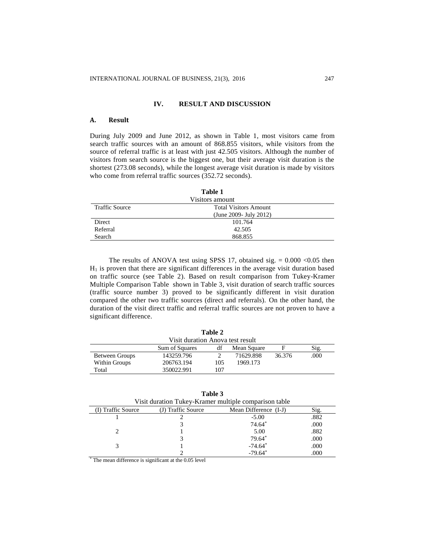### **IV. RESULT AND DISCUSSION**

#### **A. Result**

During July 2009 and June 2012, as shown in Table 1, most visitors came from search traffic sources with an amount of 868.855 visitors, while visitors from the source of referral traffic is at least with just 42.505 visitors. Although the number of visitors from search source is the biggest one, but their average visit duration is the shortest (273.08 seconds), while the longest average visit duration is made by visitors who come from referral traffic sources (352.72 seconds).

| Table 1               |                              |  |  |  |  |
|-----------------------|------------------------------|--|--|--|--|
| Visitors amount       |                              |  |  |  |  |
| <b>Traffic Source</b> | <b>Total Visitors Amount</b> |  |  |  |  |
|                       | (June 2009 - July 2012)      |  |  |  |  |
| Direct                | 101.764                      |  |  |  |  |
| Referral              | 42.505                       |  |  |  |  |
| Search                | 868.855                      |  |  |  |  |

The results of ANOVA test using SPSS 17, obtained sig.  $= 0.000$  <0.05 then  $H<sub>1</sub>$  is proven that there are significant differences in the average visit duration based on traffic source (see Table 2). Based on result comparison from Tukey-Kramer Multiple Comparison Table shown in Table 3, visit duration of search traffic sources (traffic source number 3) proved to be significantly different in visit duration compared the other two traffic sources (direct and referrals). On the other hand, the duration of the visit direct traffic and referral traffic sources are not proven to have a significant difference.

| ravit 4                          |                |     |             |        |      |  |  |
|----------------------------------|----------------|-----|-------------|--------|------|--|--|
| Visit duration Anova test result |                |     |             |        |      |  |  |
|                                  | Sum of Squares | df  | Mean Square |        | Sig. |  |  |
| Between Groups                   | 143259.796     |     | 71629.898   | 36.376 | .000 |  |  |
| Within Groups                    | 206763.194     | 105 | 1969.173    |        |      |  |  |
| Total                            | 350022.991     | 107 |             |        |      |  |  |

**Table 2**

**Table 3**

| Visit duration Tukey-Kramer multiple comparison table |                                             |           |      |  |  |  |
|-------------------------------------------------------|---------------------------------------------|-----------|------|--|--|--|
| (I) Traffic Source                                    | (J) Traffic Source<br>Mean Difference (I-J) |           | Sig. |  |  |  |
|                                                       |                                             | $-5.00$   | .882 |  |  |  |
|                                                       |                                             | $74.64*$  | .000 |  |  |  |
|                                                       |                                             | 5.00      | .882 |  |  |  |
|                                                       |                                             | 79.64*    | .000 |  |  |  |
|                                                       |                                             | $-74.64*$ | .000 |  |  |  |
|                                                       |                                             | $-79.64*$ | .000 |  |  |  |

\* The mean difference is significant at the 0.05 level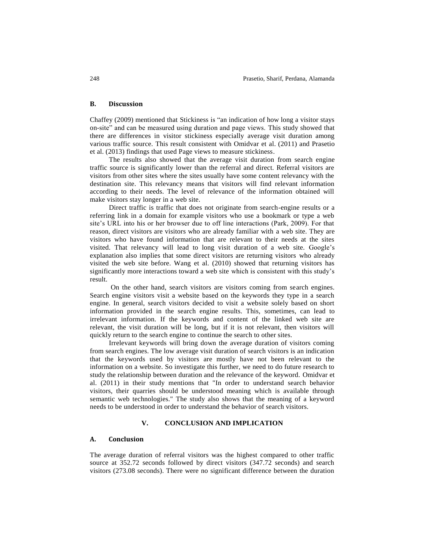### **B. Discussion**

Chaffey (2009) mentioned that Stickiness is "an indication of how long a visitor stays on-site" and can be measured using duration and page views. This study showed that there are differences in visitor stickiness especially average visit duration among various traffic source. This result consistent with Omidvar et al. (2011) and Prasetio et al. (2013) findings that used Page views to measure stickiness.

The results also showed that the average visit duration from search engine traffic source is significantly lower than the referral and direct. Referral visitors are visitors from other sites where the sites usually have some content relevancy with the destination site. This relevancy means that visitors will find relevant information according to their needs. The level of relevance of the information obtained will make visitors stay longer in a web site.

Direct traffic is traffic that does not originate from search-engine results or a referring link in a domain for example visitors who use a bookmark or type a web site's URL into his or her browser due to off line interactions (Park, 2009). For that reason, direct visitors are visitors who are already familiar with a web site. They are visitors who have found information that are relevant to their needs at the sites visited. That relevancy will lead to long visit duration of a web site. Google's explanation also implies that some direct visitors are returning visitors who already visited the web site before. Wang et al. (2010) showed that returning visitors has significantly more interactions toward a web site which is consistent with this study's result.

On the other hand, search visitors are visitors coming from search engines. Search engine visitors visit a website based on the keywords they type in a search engine. In general, search visitors decided to visit a website solely based on short information provided in the search engine results. This, sometimes, can lead to irrelevant information. If the keywords and content of the linked web site are relevant, the visit duration will be long, but if it is not relevant, then visitors will quickly return to the search engine to continue the search to other sites.

Irrelevant keywords will bring down the average duration of visitors coming from search engines. The low average visit duration of search visitors is an indication that the keywords used by visitors are mostly have not been relevant to the information on a website. So investigate this further, we need to do future research to study the relationship between duration and the relevance of the keyword. Omidvar et al. (2011) in their study mentions that "In order to understand search behavior visitors, their quarries should be understood meaning which is available through semantic web technologies." The study also shows that the meaning of a keyword needs to be understood in order to understand the behavior of search visitors.

## **V. CONCLUSION AND IMPLICATION**

#### **A. Conclusion**

The average duration of referral visitors was the highest compared to other traffic source at 352.72 seconds followed by direct visitors (347.72 seconds) and search visitors (273.08 seconds). There were no significant difference between the duration